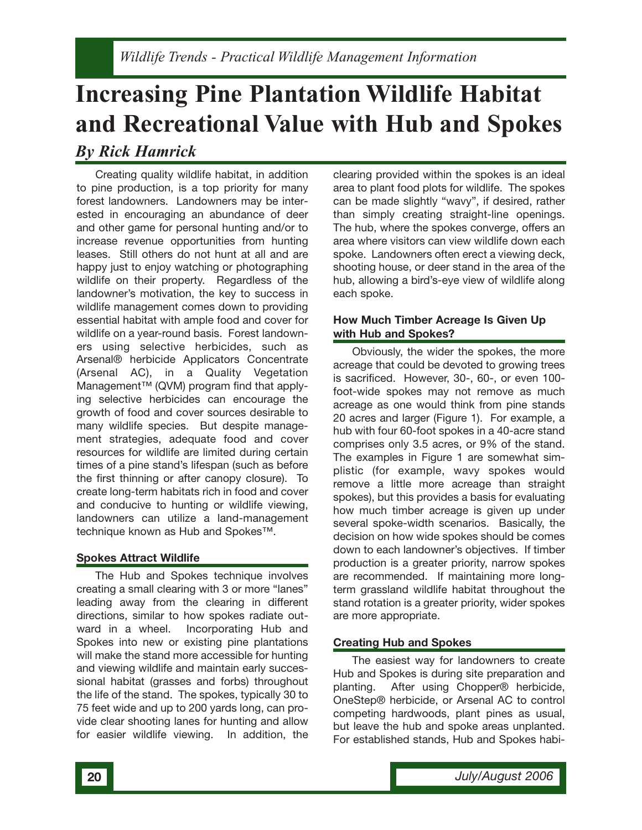# **Increasing Pine Plantation Wildlife Habitat and Recreational Value with Hub and Spokes** *By Rick Hamrick*

Creating quality wildlife habitat, in addition to pine production, is a top priority for many forest landowners. Landowners may be interested in encouraging an abundance of deer and other game for personal hunting and/or to increase revenue opportunities from hunting leases. Still others do not hunt at all and are happy just to enjoy watching or photographing wildlife on their property. Regardless of the landowner's motivation, the key to success in wildlife management comes down to providing essential habitat with ample food and cover for wildlife on a year-round basis. Forest landowners using selective herbicides, such as Arsenal® herbicide Applicators Concentrate (Arsenal AC), in a Quality Vegetation Management™ (QVM) program find that applying selective herbicides can encourage the growth of food and cover sources desirable to many wildlife species. But despite management strategies, adequate food and cover resources for wildlife are limited during certain times of a pine stand's lifespan (such as before the first thinning or after canopy closure). To create long-term habitats rich in food and cover and conducive to hunting or wildlife viewing, landowners can utilize a land-management technique known as Hub and Spokes™.

### **Spokes Attract Wildlife**

The Hub and Spokes technique involves creating a small clearing with 3 or more "lanes" leading away from the clearing in different directions, similar to how spokes radiate outward in a wheel. Incorporating Hub and Spokes into new or existing pine plantations will make the stand more accessible for hunting and viewing wildlife and maintain early successional habitat (grasses and forbs) throughout the life of the stand. The spokes, typically 30 to 75 feet wide and up to 200 yards long, can provide clear shooting lanes for hunting and allow for easier wildlife viewing. In addition, the

clearing provided within the spokes is an ideal area to plant food plots for wildlife. The spokes can be made slightly "wavy", if desired, rather than simply creating straight-line openings. The hub, where the spokes converge, offers an area where visitors can view wildlife down each spoke. Landowners often erect a viewing deck, shooting house, or deer stand in the area of the hub, allowing a bird's-eye view of wildlife along each spoke.

### **How Much Timber Acreage Is Given Up with Hub and Spokes?**

Obviously, the wider the spokes, the more acreage that could be devoted to growing trees is sacrificed. However, 30-, 60-, or even 100 foot-wide spokes may not remove as much acreage as one would think from pine stands 20 acres and larger (Figure 1). For example, a hub with four 60-foot spokes in a 40-acre stand comprises only 3.5 acres, or 9% of the stand. The examples in Figure 1 are somewhat simplistic (for example, wavy spokes would remove a little more acreage than straight spokes), but this provides a basis for evaluating how much timber acreage is given up under several spoke-width scenarios. Basically, the decision on how wide spokes should be comes down to each landowner's objectives. If timber production is a greater priority, narrow spokes are recommended. If maintaining more longterm grassland wildlife habitat throughout the stand rotation is a greater priority, wider spokes are more appropriate.

### **Creating Hub and Spokes**

The easiest way for landowners to create Hub and Spokes is during site preparation and planting. After using Chopper® herbicide, OneStep® herbicide, or Arsenal AC to control competing hardwoods, plant pines as usual, but leave the hub and spoke areas unplanted. For established stands, Hub and Spokes habi-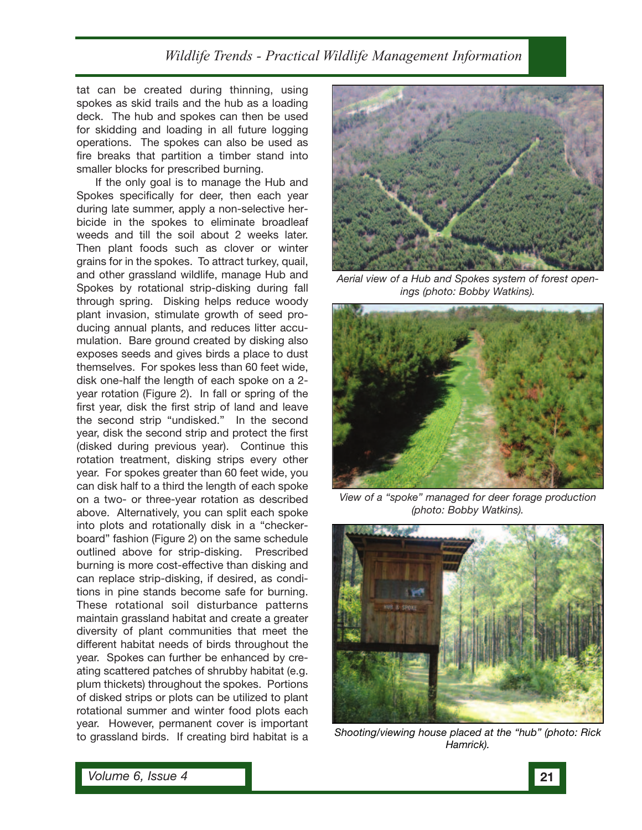## *Wildlife Trends - Practical Wildlife Management Information*

tat can be created during thinning, using spokes as skid trails and the hub as a loading deck. The hub and spokes can then be used for skidding and loading in all future logging operations. The spokes can also be used as fire breaks that partition a timber stand into smaller blocks for prescribed burning.

If the only goal is to manage the Hub and Spokes specifically for deer, then each year during late summer, apply a non-selective herbicide in the spokes to eliminate broadleaf weeds and till the soil about 2 weeks later. Then plant foods such as clover or winter grains for in the spokes. To attract turkey, quail, and other grassland wildlife, manage Hub and Spokes by rotational strip-disking during fall through spring. Disking helps reduce woody plant invasion, stimulate growth of seed producing annual plants, and reduces litter accumulation. Bare ground created by disking also exposes seeds and gives birds a place to dust themselves. For spokes less than 60 feet wide, disk one-half the length of each spoke on a 2 year rotation (Figure 2). In fall or spring of the first year, disk the first strip of land and leave the second strip "undisked." In the second year, disk the second strip and protect the first (disked during previous year). Continue this rotation treatment, disking strips every other year. For spokes greater than 60 feet wide, you can disk half to a third the length of each spoke on a two- or three-year rotation as described above. Alternatively, you can split each spoke into plots and rotationally disk in a "checkerboard" fashion (Figure 2) on the same schedule outlined above for strip-disking. Prescribed burning is more cost-effective than disking and can replace strip-disking, if desired, as conditions in pine stands become safe for burning. These rotational soil disturbance patterns maintain grassland habitat and create a greater diversity of plant communities that meet the different habitat needs of birds throughout the year. Spokes can further be enhanced by creating scattered patches of shrubby habitat (e.g. plum thickets) throughout the spokes. Portions of disked strips or plots can be utilized to plant rotational summer and winter food plots each year. However, permanent cover is important to grassland birds. If creating bird habitat is a



*Aerial view of a Hub and Spokes system of forest openings (photo: Bobby Watkins).*



*View of a "spoke" managed for deer forage production (photo: Bobby Watkins).*



*Shooting/viewing house placed at the "hub" (photo: Rick Hamrick).*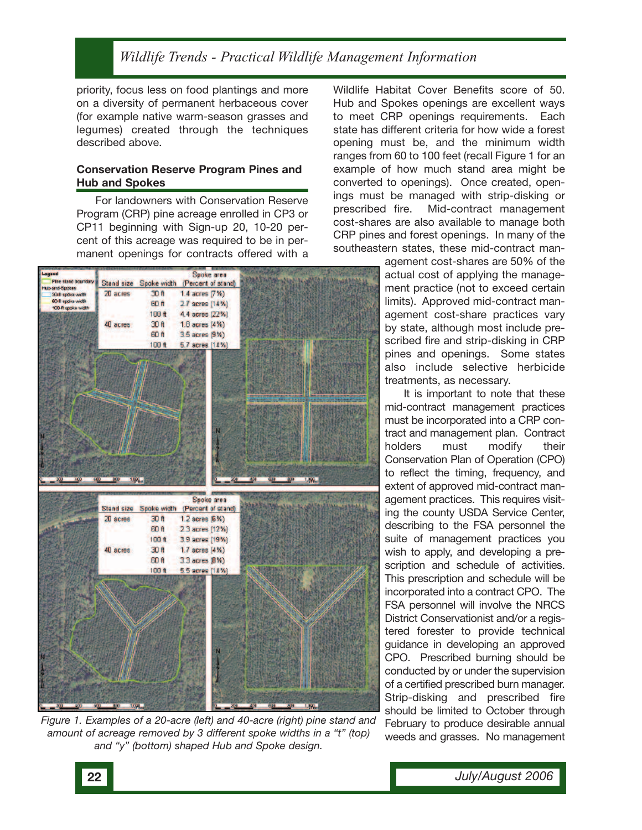## *Wildlife Trends - Practical Wildlife Management Information*

priority, focus less on food plantings and more on a diversity of permanent herbaceous cover (for example native warm-season grasses and legumes) created through the techniques described above.

#### **Conservation Reserve Program Pines and Hub and Spokes**

For landowners with Conservation Reserve Program (CRP) pine acreage enrolled in CP3 or CP11 beginning with Sign-up 20, 10-20 percent of this acreage was required to be in permanent openings for contracts offered with a



*Figure 1. Examples of a 20-acre (left) and 40-acre (right) pine stand and amount of acreage removed by 3 different spoke widths in a "t" (top) and "y" (bottom) shaped Hub and Spoke design.*

Wildlife Habitat Cover Benefits score of 50. Hub and Spokes openings are excellent ways to meet CRP openings requirements. Each state has different criteria for how wide a forest opening must be, and the minimum width ranges from 60 to 100 feet (recall Figure 1 for an example of how much stand area might be converted to openings). Once created, openings must be managed with strip-disking or prescribed fire. Mid-contract management cost-shares are also available to manage both CRP pines and forest openings. In many of the southeastern states, these mid-contract man-

> agement cost-shares are 50% of the actual cost of applying the management practice (not to exceed certain limits). Approved mid-contract management cost-share practices vary by state, although most include prescribed fire and strip-disking in CRP pines and openings. Some states also include selective herbicide treatments, as necessary.

> It is important to note that these mid-contract management practices must be incorporated into a CRP contract and management plan. Contract holders must modify their Conservation Plan of Operation (CPO) to reflect the timing, frequency, and extent of approved mid-contract management practices. This requires visiting the county USDA Service Center, describing to the FSA personnel the suite of management practices you wish to apply, and developing a prescription and schedule of activities. This prescription and schedule will be incorporated into a contract CPO. The FSA personnel will involve the NRCS District Conservationist and/or a registered forester to provide technical guidance in developing an approved CPO. Prescribed burning should be conducted by or under the supervision of a certified prescribed burn manager. Strip-disking and prescribed fire should be limited to October through February to produce desirable annual weeds and grasses. No management

**22** *July/August 2006*